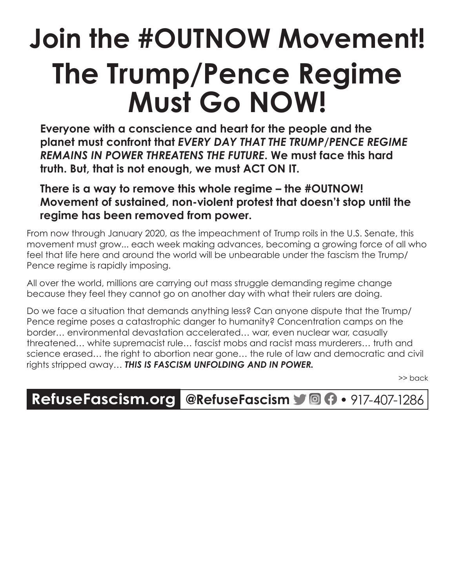## **Join the #OUTNOW Movement! The Trump/Pence Regime Must Go NOW!**

**Everyone with a conscience and heart for the people and the planet must confront that** *EVERY DAY THAT THE TRUMP/PENCE REGIME REMAINS IN POWER THREATENS THE FUTURE***. We must face this hard truth. But, that is not enough, we must ACT ON IT.**

**There is a way to remove this whole regime – the #OUTNOW! Movement of sustained, non-violent protest that doesn't stop until the regime has been removed from power.**

From now through January 2020, as the impeachment of Trump roils in the U.S. Senate, this movement must grow... each week making advances, becoming a growing force of all who feel that life here and around the world will be unbearable under the fascism the Trump/ Pence regime is rapidly imposing.

All over the world, millions are carrying out mass struggle demanding regime change because they feel they cannot go on another day with what their rulers are doing.

Do we face a situation that demands anything less? Can anyone dispute that the Trump/ Pence regime poses a catastrophic danger to humanity? Concentration camps on the border… environmental devastation accelerated… war, even nuclear war, casually threatened… white supremacist rule… fascist mobs and racist mass murderers… truth and science erased… the right to abortion near gone… the rule of law and democratic and civil rights stripped away… *THIS IS FASCISM UNFOLDING AND IN POWER.*

>> back

## **RefuseFascism.org @RefuseFascism** • 917-407-1286